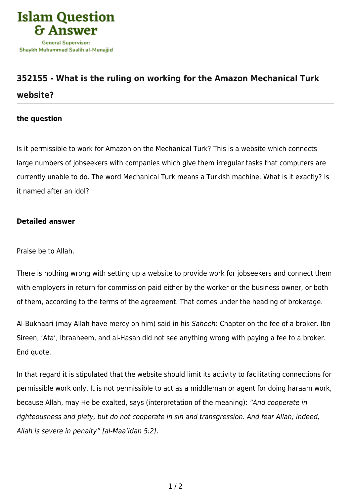

## **[352155 - What is the ruling on working for the Amazon Mechanical Turk](https://islamqa.com/en/answers/352155/what-is-the-ruling-on-working-for-the-amazon-mechanical-turk-website) [website?](https://islamqa.com/en/answers/352155/what-is-the-ruling-on-working-for-the-amazon-mechanical-turk-website)**

## **the question**

Is it permissible to work for Amazon on the Mechanical Turk? This is a website which connects large numbers of jobseekers with companies which give them irregular tasks that computers are currently unable to do. The word Mechanical Turk means a Turkish machine. What is it exactly? Is it named after an idol?

## **Detailed answer**

Praise be to Allah.

There is nothing wrong with setting up a website to provide work for jobseekers and connect them with employers in return for commission paid either by the worker or the business owner, or both of them, according to the terms of the agreement. That comes under the heading of brokerage.

Al-Bukhaari (may Allah have mercy on him) said in his Saheeh: Chapter on the fee of a broker. Ibn Sireen, 'Ata', Ibraaheem, and al-Hasan did not see anything wrong with paying a fee to a broker. End quote.

In that regard it is stipulated that the website should limit its activity to facilitating connections for permissible work only. It is not permissible to act as a middleman or agent for doing haraam work, because Allah, may He be exalted, says (interpretation of the meaning): "And cooperate in righteousness and piety, but do not cooperate in sin and transgression. And fear Allah; indeed, Allah is severe in penalty" [al-Maa'idah 5:2].